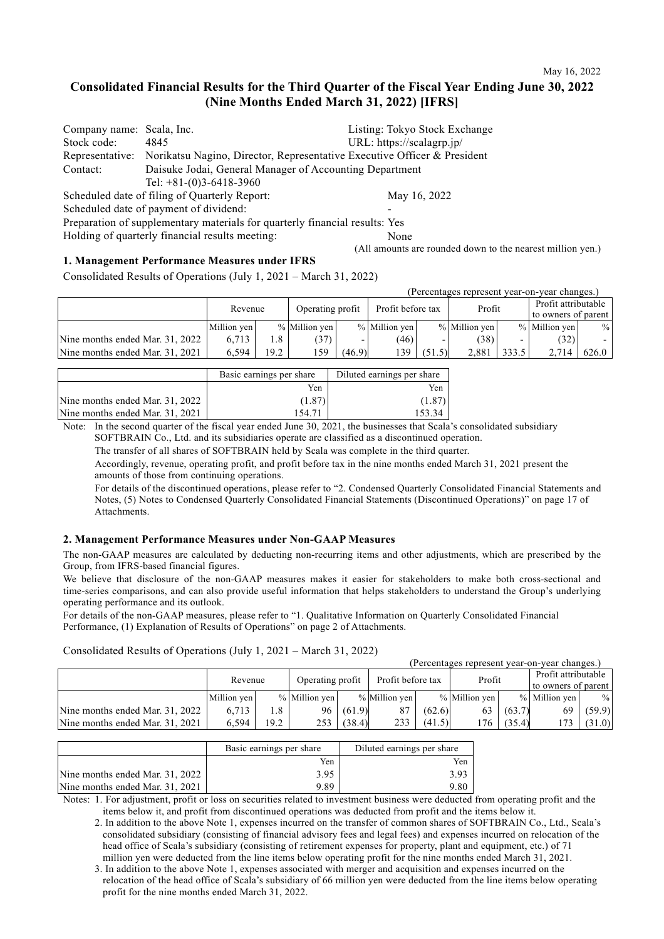## **Consolidated Financial Results for the Third Quarter of the Fiscal Year Ending June 30, 2022 (Nine Months Ended March 31, 2022) [IFRS]**

| Company name: Scala, Inc. |                                                                                          | Listing: Tokyo Stock Exchange                              |
|---------------------------|------------------------------------------------------------------------------------------|------------------------------------------------------------|
| Stock code:               | 4845                                                                                     | URL: https://scalagrp.jp/                                  |
|                           | Representative: Norikatsu Nagino, Director, Representative Executive Officer & President |                                                            |
| Contact:                  | Daisuke Jodai, General Manager of Accounting Department                                  |                                                            |
|                           | Tel: $+81-(0)3-6418-3960$                                                                |                                                            |
|                           | Scheduled date of filing of Quarterly Report:                                            | May 16, 2022                                               |
|                           | Scheduled date of payment of dividend:                                                   |                                                            |
|                           | Preparation of supplementary materials for quarterly financial results: Yes              |                                                            |
|                           | Holding of quarterly financial results meeting:                                          | None                                                       |
|                           |                                                                                          | (All amounts are rounded down to the nearest million yen.) |

#### **1. Management Performance Measures under IFRS**

Consolidated Results of Operations (July 1, 2021 – March 31, 2022)

|                                 |             |                             |               |        |               |                   |               |                          | (Percentages represent year-on-year changes.) |       |
|---------------------------------|-------------|-----------------------------|---------------|--------|---------------|-------------------|---------------|--------------------------|-----------------------------------------------|-------|
|                                 |             | Operating profit<br>Revenue |               |        |               | Profit before tax |               |                          | Profit attributable                           |       |
|                                 |             |                             |               |        |               |                   | Profit        |                          | to owners of parent                           |       |
|                                 | Million yen |                             | % Million yen |        | % Million yen |                   | % Million yen |                          | % Million yen                                 | $\%$  |
| Nine months ended Mar. 31, 2022 | 6.713       | 1.8                         | (37)          |        | (46)          |                   | (38)          | $\overline{\phantom{0}}$ | (32)                                          |       |
| Nine months ended Mar. 31, 2021 | 6.594       | 19.2                        | 159           | (46.9) | 139           | (51.5)            | 2.881         | 333.5                    | 2.714                                         | 626.0 |

|                                 | Basic earnings per share | Diluted earnings per share |  |
|---------------------------------|--------------------------|----------------------------|--|
|                                 | Yen                      | Yen                        |  |
| Nine months ended Mar. 31, 2022 | (1.87)                   | (1.87)                     |  |
| Nine months ended Mar. 31, 2021 | 154.71                   |                            |  |

Note: In the second quarter of the fiscal year ended June 30, 2021, the businesses that Scala's consolidated subsidiary SOFTBRAIN Co., Ltd. and its subsidiaries operate are classified as a discontinued operation.

The transfer of all shares of SOFTBRAIN held by Scala was complete in the third quarter.

Accordingly, revenue, operating profit, and profit before tax in the nine months ended March 31, 2021 present the amounts of those from continuing operations.

For details of the discontinued operations, please refer to "2. Condensed Quarterly Consolidated Financial Statements and Notes, (5) Notes to Condensed Quarterly Consolidated Financial Statements (Discontinued Operations)" on page 17 of **Attachments** 

#### **2. Management Performance Measures under Non-GAAP Measures**

The non-GAAP measures are calculated by deducting non-recurring items and other adjustments, which are prescribed by the Group, from IFRS-based financial figures.

We believe that disclosure of the non-GAAP measures makes it easier for stakeholders to make both cross-sectional and time-series comparisons, and can also provide useful information that helps stakeholders to understand the Group's underlying operating performance and its outlook.

For details of the non-GAAP measures, please refer to "1. Qualitative Information on Quarterly Consolidated Financial Performance, (1) Explanation of Results of Operations" on page 2 of Attachments.

#### Consolidated Results of Operations (July 1, 2021 – March 31, 2022)

|                                 |             |         |               |                  |               |                   |               |        | (Percentages represent vear-on-vear changes.) |                     |
|---------------------------------|-------------|---------|---------------|------------------|---------------|-------------------|---------------|--------|-----------------------------------------------|---------------------|
|                                 |             | Revenue |               | Operating profit |               | Profit before tax |               | Profit |                                               | Profit attributable |
|                                 |             |         |               |                  |               |                   |               |        |                                               | to owners of parent |
|                                 | Million yen |         | % Million yen |                  | % Million ven |                   | % Million ven |        | % Million ven                                 | $\frac{0}{0}$       |
| Nine months ended Mar. 31, 2022 | 6.713       | 1.8     | 96            | (61.9)           |               | (62.6)            | 63            | (63.7) |                                               | (59.9)              |
| Nine months ended Mar. 31, 2021 | 6.594       | 19.2    | 253           | (38.4)           | 233           | (41.5)            | 176.          | (35.4) | 173                                           | (31.0)              |

|                                 | Basic earnings per share | Diluted earnings per share |
|---------------------------------|--------------------------|----------------------------|
|                                 | Yen                      | Yen                        |
| Nine months ended Mar. 31, 2022 | 3.95                     | 3.93                       |
| Nine months ended Mar. 31, 2021 | 9.89                     | 9.80                       |

Notes: 1. For adjustment, profit or loss on securities related to investment business were deducted from operating profit and the items below it, and profit from discontinued operations was deducted from profit and the items below it.

2. In addition to the above Note 1, expenses incurred on the transfer of common shares of SOFTBRAIN Co., Ltd., Scala's consolidated subsidiary (consisting of financial advisory fees and legal fees) and expenses incurred on relocation of the head office of Scala's subsidiary (consisting of retirement expenses for property, plant and equipment, etc.) of 71 million yen were deducted from the line items below operating profit for the nine months ended March 31, 2021.

3. In addition to the above Note 1, expenses associated with merger and acquisition and expenses incurred on the relocation of the head office of Scala's subsidiary of 66 million yen were deducted from the line items below operating profit for the nine months ended March 31, 2022.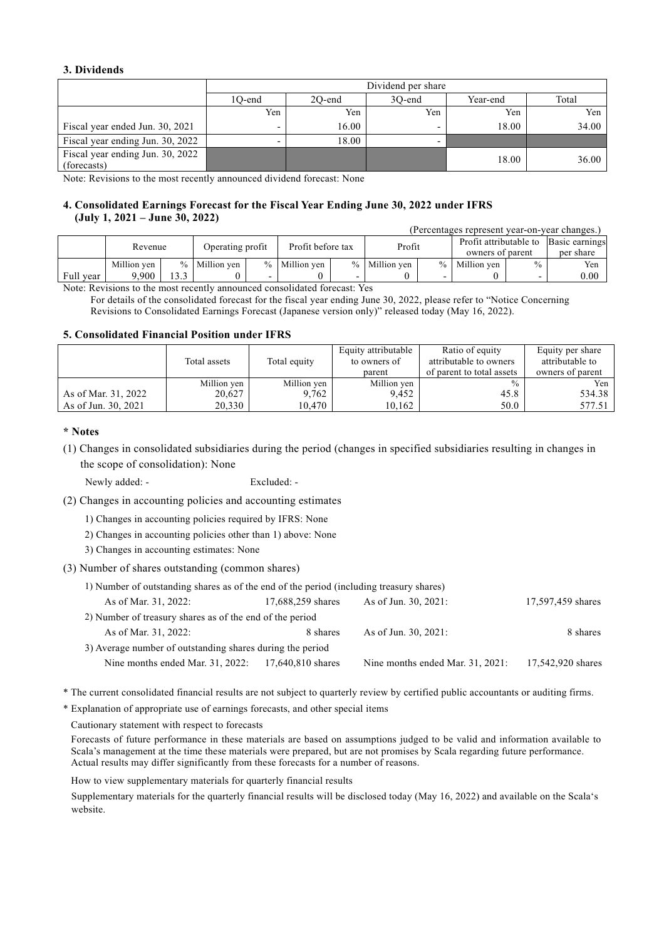## **3. Dividends**

|                                                 | Dividend per share |        |        |          |       |  |  |
|-------------------------------------------------|--------------------|--------|--------|----------|-------|--|--|
|                                                 | 10-end             | 20-end | 30-end | Year-end | Total |  |  |
|                                                 | Yen                | Yen    | Yen    | Yen      | Yen   |  |  |
| Fiscal year ended Jun. 30, 2021                 |                    | 16.00  |        | 18.00    | 34.00 |  |  |
| Fiscal year ending Jun. 30, 2022                |                    | 18.00  |        |          |       |  |  |
| Fiscal year ending Jun. 30, 2022<br>(forecasts) |                    |        |        | 18.00    | 36.00 |  |  |

Note: Revisions to the most recently announced dividend forecast: None

#### **4. Consolidated Earnings Forecast for the Fiscal Year Ending June 30, 2022 under IFRS (July 1, 2021 – June 30, 2022)** (Percentages represent year-on-year changes.)

|           | Tercentages represent vear-on-vear changes.) |     |                  |  |                   |  |               |  |                                            |               |                             |
|-----------|----------------------------------------------|-----|------------------|--|-------------------|--|---------------|--|--------------------------------------------|---------------|-----------------------------|
|           | Revenue                                      |     | Operating profit |  | Profit before tax |  | Profit        |  | Profit attributable to<br>owners of parent |               | Basic earnings<br>per share |
|           | Million ven                                  |     | % Million ven    |  | % Million ven     |  | % Million ven |  | % Million ven                              | $\frac{0}{0}$ | Yen                         |
| Full vear | 9.900                                        | 3.3 |                  |  |                   |  |               |  |                                            |               | 0.00                        |

Note: Revisions to the most recently announced consolidated forecast: Yes

For details of the consolidated forecast for the fiscal year ending June 30, 2022, please refer to "Notice Concerning Revisions to Consolidated Earnings Forecast (Japanese version only)" released today (May 16, 2022).

#### **5. Consolidated Financial Position under IFRS**

|                     |              |              | Equity attributable | Ratio of equity           | Equity per share |
|---------------------|--------------|--------------|---------------------|---------------------------|------------------|
|                     | Total assets | Total equity | to owners of        | attributable to owners    | attributable to  |
|                     |              |              | parent              | of parent to total assets | owners of parent |
|                     | Million yen  | Million yen  | Million yen         | $\frac{0}{0}$             | Yen              |
| As of Mar. 31, 2022 | 20,627       | 9,762        | 9,452               | 45.8                      | 534.38           |
| As of Jun. 30, 2021 | 20.330       | 10.470       | 10.162              | 50.0                      | 577.51           |

### **\* Notes**

(1) Changes in consolidated subsidiaries during the period (changes in specified subsidiaries resulting in changes in the scope of consolidation): None

Newly added: - Excluded: -

(2) Changes in accounting policies and accounting estimates

1) Changes in accounting policies required by IFRS: None

- 2) Changes in accounting policies other than 1) above: None
- 3) Changes in accounting estimates: None

(3) Number of shares outstanding (common shares)

| 1) Number of outstanding shares as of the end of the period (including treasury shares) |                   |                                  |                   |  |  |  |
|-----------------------------------------------------------------------------------------|-------------------|----------------------------------|-------------------|--|--|--|
| As of Mar. 31, 2022:                                                                    | 17,688,259 shares | As of Jun. 30, 2021:             | 17,597,459 shares |  |  |  |
| 2) Number of treasury shares as of the end of the period                                |                   |                                  |                   |  |  |  |
| As of Mar. 31, 2022:                                                                    | 8 shares          | As of Jun. 30, 2021:             | 8 shares          |  |  |  |
| 3) Average number of outstanding shares during the period                               |                   |                                  |                   |  |  |  |
| Nine months ended Mar. 31, 2022:                                                        | 17,640,810 shares | Nine months ended Mar. 31, 2021: | 17,542,920 shares |  |  |  |

\* The current consolidated financial results are not subject to quarterly review by certified public accountants or auditing firms.

\* Explanation of appropriate use of earnings forecasts, and other special items

Cautionary statement with respect to forecasts

Forecasts of future performance in these materials are based on assumptions judged to be valid and information available to Scala's management at the time these materials were prepared, but are not promises by Scala regarding future performance. Actual results may differ significantly from these forecasts for a number of reasons.

How to view supplementary materials for quarterly financial results

Supplementary materials for the quarterly financial results will be disclosed today (May 16, 2022) and available on the Scala's website.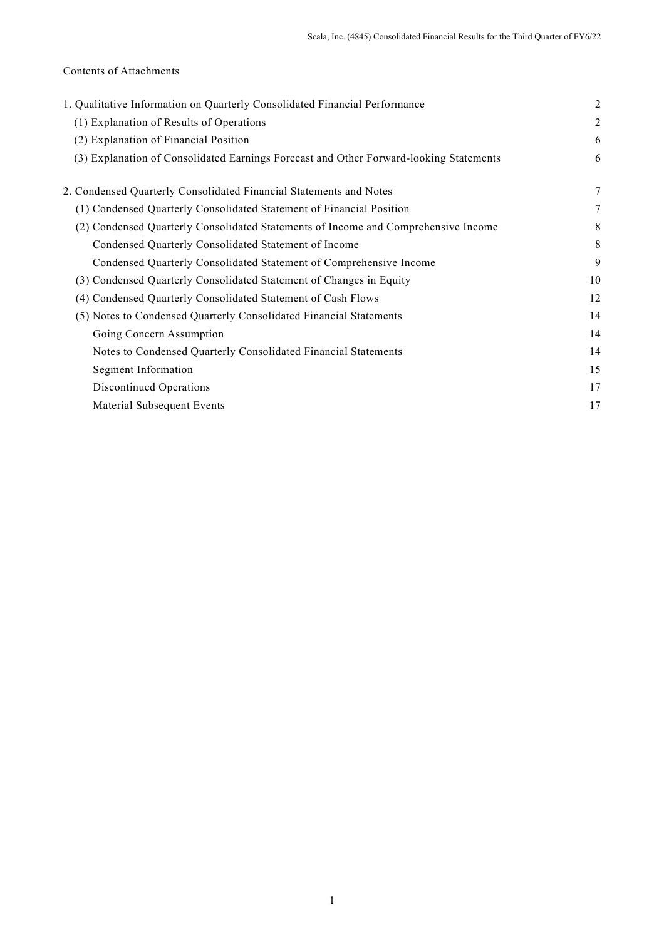## Contents of Attachments

| 1. Qualitative Information on Quarterly Consolidated Financial Performance             | $\overline{2}$ |
|----------------------------------------------------------------------------------------|----------------|
| (1) Explanation of Results of Operations                                               | $\overline{2}$ |
| (2) Explanation of Financial Position                                                  | 6              |
| (3) Explanation of Consolidated Earnings Forecast and Other Forward-looking Statements | 6              |
| 2. Condensed Quarterly Consolidated Financial Statements and Notes                     | 7              |
| (1) Condensed Quarterly Consolidated Statement of Financial Position                   | 7              |
| (2) Condensed Quarterly Consolidated Statements of Income and Comprehensive Income     | 8              |
| Condensed Quarterly Consolidated Statement of Income                                   | 8              |
| Condensed Quarterly Consolidated Statement of Comprehensive Income                     | 9              |
| (3) Condensed Quarterly Consolidated Statement of Changes in Equity                    | 10             |
| (4) Condensed Quarterly Consolidated Statement of Cash Flows                           | 12             |
| (5) Notes to Condensed Quarterly Consolidated Financial Statements                     | 14             |
| Going Concern Assumption                                                               | 14             |
| Notes to Condensed Quarterly Consolidated Financial Statements                         | 14             |
| Segment Information                                                                    | 15             |
| <b>Discontinued Operations</b>                                                         | 17             |
| Material Subsequent Events                                                             | 17             |
|                                                                                        |                |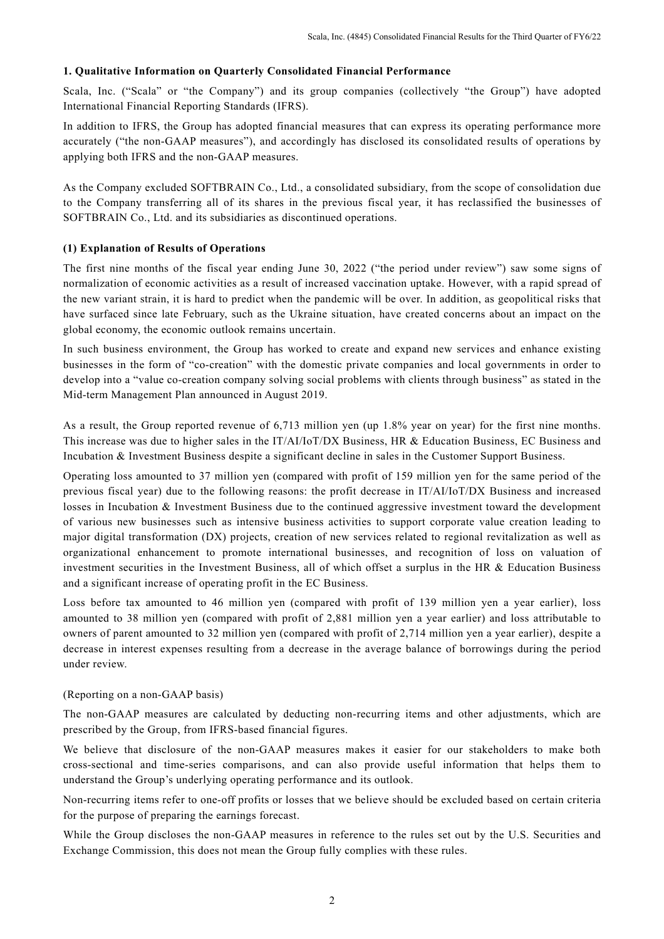## **1. Qualitative Information on Quarterly Consolidated Financial Performance**

Scala, Inc. ("Scala" or "the Company") and its group companies (collectively "the Group") have adopted International Financial Reporting Standards (IFRS).

In addition to IFRS, the Group has adopted financial measures that can express its operating performance more accurately ("the non-GAAP measures"), and accordingly has disclosed its consolidated results of operations by applying both IFRS and the non-GAAP measures.

As the Company excluded SOFTBRAIN Co., Ltd., a consolidated subsidiary, from the scope of consolidation due to the Company transferring all of its shares in the previous fiscal year, it has reclassified the businesses of SOFTBRAIN Co., Ltd. and its subsidiaries as discontinued operations.

## **(1) Explanation of Results of Operations**

The first nine months of the fiscal year ending June 30, 2022 ("the period under review") saw some signs of normalization of economic activities as a result of increased vaccination uptake. However, with a rapid spread of the new variant strain, it is hard to predict when the pandemic will be over. In addition, as geopolitical risks that have surfaced since late February, such as the Ukraine situation, have created concerns about an impact on the global economy, the economic outlook remains uncertain.

In such business environment, the Group has worked to create and expand new services and enhance existing businesses in the form of "co-creation" with the domestic private companies and local governments in order to develop into a "value co-creation company solving social problems with clients through business" as stated in the Mid-term Management Plan announced in August 2019.

As a result, the Group reported revenue of 6,713 million yen (up 1.8% year on year) for the first nine months. This increase was due to higher sales in the IT/AI/IoT/DX Business, HR & Education Business, EC Business and Incubation & Investment Business despite a significant decline in sales in the Customer Support Business.

Operating loss amounted to 37 million yen (compared with profit of 159 million yen for the same period of the previous fiscal year) due to the following reasons: the profit decrease in IT/AI/IoT/DX Business and increased losses in Incubation & Investment Business due to the continued aggressive investment toward the development of various new businesses such as intensive business activities to support corporate value creation leading to major digital transformation (DX) projects, creation of new services related to regional revitalization as well as organizational enhancement to promote international businesses, and recognition of loss on valuation of investment securities in the Investment Business, all of which offset a surplus in the HR & Education Business and a significant increase of operating profit in the EC Business.

Loss before tax amounted to 46 million yen (compared with profit of 139 million yen a year earlier), loss amounted to 38 million yen (compared with profit of 2,881 million yen a year earlier) and loss attributable to owners of parent amounted to 32 million yen (compared with profit of 2,714 million yen a year earlier), despite a decrease in interest expenses resulting from a decrease in the average balance of borrowings during the period under review.

## (Reporting on a non-GAAP basis)

The non-GAAP measures are calculated by deducting non-recurring items and other adjustments, which are prescribed by the Group, from IFRS-based financial figures.

We believe that disclosure of the non-GAAP measures makes it easier for our stakeholders to make both cross-sectional and time-series comparisons, and can also provide useful information that helps them to understand the Group's underlying operating performance and its outlook.

Non-recurring items refer to one-off profits or losses that we believe should be excluded based on certain criteria for the purpose of preparing the earnings forecast.

While the Group discloses the non-GAAP measures in reference to the rules set out by the U.S. Securities and Exchange Commission, this does not mean the Group fully complies with these rules.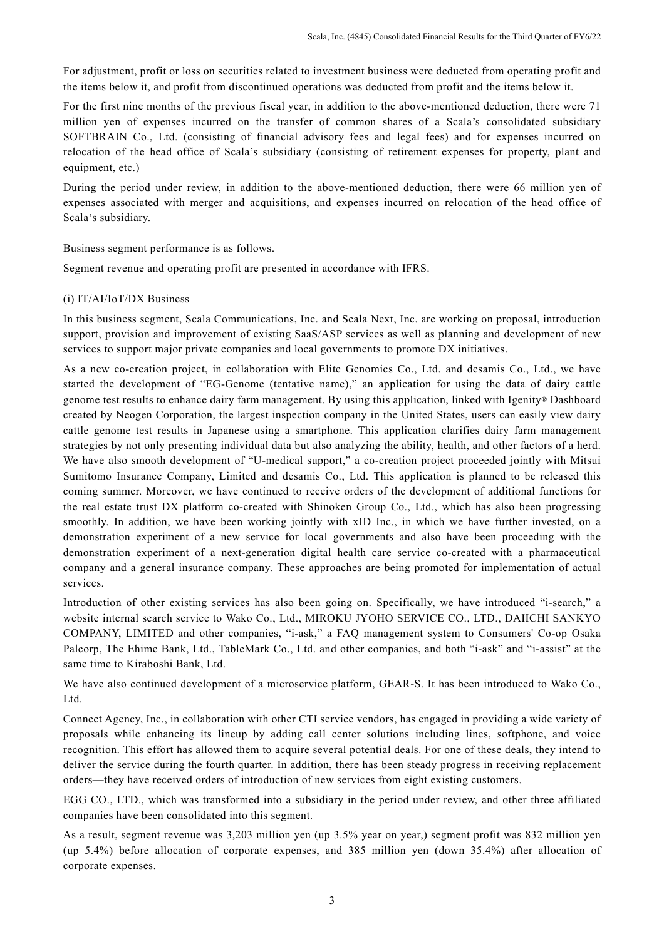For adjustment, profit or loss on securities related to investment business were deducted from operating profit and the items below it, and profit from discontinued operations was deducted from profit and the items below it.

For the first nine months of the previous fiscal year, in addition to the above-mentioned deduction, there were 71 million yen of expenses incurred on the transfer of common shares of a Scala's consolidated subsidiary SOFTBRAIN Co., Ltd. (consisting of financial advisory fees and legal fees) and for expenses incurred on relocation of the head office of Scala's subsidiary (consisting of retirement expenses for property, plant and equipment, etc.)

During the period under review, in addition to the above-mentioned deduction, there were 66 million yen of expenses associated with merger and acquisitions, and expenses incurred on relocation of the head office of Scala's subsidiary.

Business segment performance is as follows.

Segment revenue and operating profit are presented in accordance with IFRS.

## (i) IT/AI/IoT/DX Business

In this business segment, Scala Communications, Inc. and Scala Next, Inc. are working on proposal, introduction support, provision and improvement of existing SaaS/ASP services as well as planning and development of new services to support major private companies and local governments to promote DX initiatives.

As a new co-creation project, in collaboration with Elite Genomics Co., Ltd. and desamis Co., Ltd., we have started the development of "EG-Genome (tentative name)," an application for using the data of dairy cattle genome test results to enhance dairy farm management. By using this application, linked with Igenity® Dashboard created by Neogen Corporation, the largest inspection company in the United States, users can easily view dairy cattle genome test results in Japanese using a smartphone. This application clarifies dairy farm management strategies by not only presenting individual data but also analyzing the ability, health, and other factors of a herd. We have also smooth development of "U-medical support," a co-creation project proceeded jointly with Mitsui Sumitomo Insurance Company, Limited and desamis Co., Ltd. This application is planned to be released this coming summer. Moreover, we have continued to receive orders of the development of additional functions for the real estate trust DX platform co-created with Shinoken Group Co., Ltd., which has also been progressing smoothly. In addition, we have been working jointly with xID Inc., in which we have further invested, on a demonstration experiment of a new service for local governments and also have been proceeding with the demonstration experiment of a next-generation digital health care service co-created with a pharmaceutical company and a general insurance company. These approaches are being promoted for implementation of actual services.

Introduction of other existing services has also been going on. Specifically, we have introduced "i-search," a website internal search service to Wako Co., Ltd., MIROKU JYOHO SERVICE CO., LTD., DAIICHI SANKYO COMPANY, LIMITED and other companies, "i-ask," a FAQ management system to Consumers' Co-op Osaka Palcorp, The Ehime Bank, Ltd., TableMark Co., Ltd. and other companies, and both "i-ask" and "i-assist" at the same time to Kiraboshi Bank, Ltd.

We have also continued development of a microservice platform, GEAR-S. It has been introduced to Wako Co., Ltd.

Connect Agency, Inc., in collaboration with other CTI service vendors, has engaged in providing a wide variety of proposals while enhancing its lineup by adding call center solutions including lines, softphone, and voice recognition. This effort has allowed them to acquire several potential deals. For one of these deals, they intend to deliver the service during the fourth quarter. In addition, there has been steady progress in receiving replacement orders—they have received orders of introduction of new services from eight existing customers.

EGG CO., LTD., which was transformed into a subsidiary in the period under review, and other three affiliated companies have been consolidated into this segment.

As a result, segment revenue was 3,203 million yen (up 3.5% year on year,) segment profit was 832 million yen (up 5.4%) before allocation of corporate expenses, and 385 million yen (down 35.4%) after allocation of corporate expenses.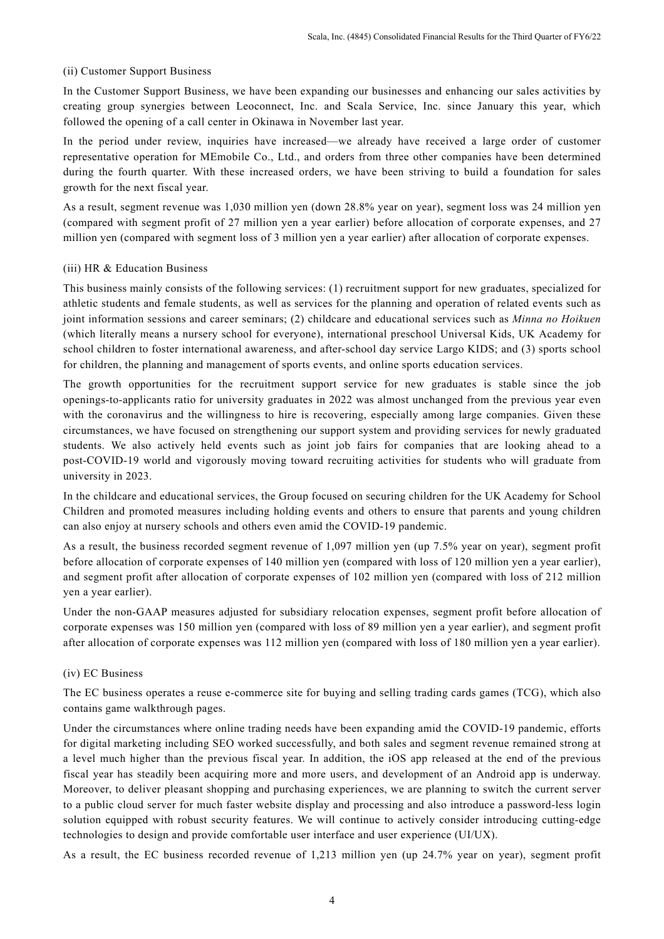## (ii) Customer Support Business

In the Customer Support Business, we have been expanding our businesses and enhancing our sales activities by creating group synergies between Leoconnect, Inc. and Scala Service, Inc. since January this year, which followed the opening of a call center in Okinawa in November last year.

In the period under review, inquiries have increased—we already have received a large order of customer representative operation for MEmobile Co., Ltd., and orders from three other companies have been determined during the fourth quarter. With these increased orders, we have been striving to build a foundation for sales growth for the next fiscal year.

As a result, segment revenue was 1,030 million yen (down 28.8% year on year), segment loss was 24 million yen (compared with segment profit of 27 million yen a year earlier) before allocation of corporate expenses, and 27 million yen (compared with segment loss of 3 million yen a year earlier) after allocation of corporate expenses.

## (iii) HR & Education Business

This business mainly consists of the following services: (1) recruitment support for new graduates, specialized for athletic students and female students, as well as services for the planning and operation of related events such as joint information sessions and career seminars; (2) childcare and educational services such as *Minna no Hoikuen* (which literally means a nursery school for everyone), international preschool Universal Kids, UK Academy for school children to foster international awareness, and after-school day service Largo KIDS; and (3) sports school for children, the planning and management of sports events, and online sports education services.

The growth opportunities for the recruitment support service for new graduates is stable since the job openings-to-applicants ratio for university graduates in 2022 was almost unchanged from the previous year even with the coronavirus and the willingness to hire is recovering, especially among large companies. Given these circumstances, we have focused on strengthening our support system and providing services for newly graduated students. We also actively held events such as joint job fairs for companies that are looking ahead to a post-COVID-19 world and vigorously moving toward recruiting activities for students who will graduate from university in 2023.

In the childcare and educational services, the Group focused on securing children for the UK Academy for School Children and promoted measures including holding events and others to ensure that parents and young children can also enjoy at nursery schools and others even amid the COVID-19 pandemic.

As a result, the business recorded segment revenue of 1,097 million yen (up 7.5% year on year), segment profit before allocation of corporate expenses of 140 million yen (compared with loss of 120 million yen a year earlier), and segment profit after allocation of corporate expenses of 102 million yen (compared with loss of 212 million yen a year earlier).

Under the non-GAAP measures adjusted for subsidiary relocation expenses, segment profit before allocation of corporate expenses was 150 million yen (compared with loss of 89 million yen a year earlier), and segment profit after allocation of corporate expenses was 112 million yen (compared with loss of 180 million yen a year earlier).

## (iv) EC Business

The EC business operates a reuse e-commerce site for buying and selling trading cards games (TCG), which also contains game walkthrough pages.

Under the circumstances where online trading needs have been expanding amid the COVID-19 pandemic, efforts for digital marketing including SEO worked successfully, and both sales and segment revenue remained strong at a level much higher than the previous fiscal year. In addition, the iOS app released at the end of the previous fiscal year has steadily been acquiring more and more users, and development of an Android app is underway. Moreover, to deliver pleasant shopping and purchasing experiences, we are planning to switch the current server to a public cloud server for much faster website display and processing and also introduce a password-less login solution equipped with robust security features. We will continue to actively consider introducing cutting-edge technologies to design and provide comfortable user interface and user experience (UI/UX).

As a result, the EC business recorded revenue of 1,213 million yen (up 24.7% year on year), segment profit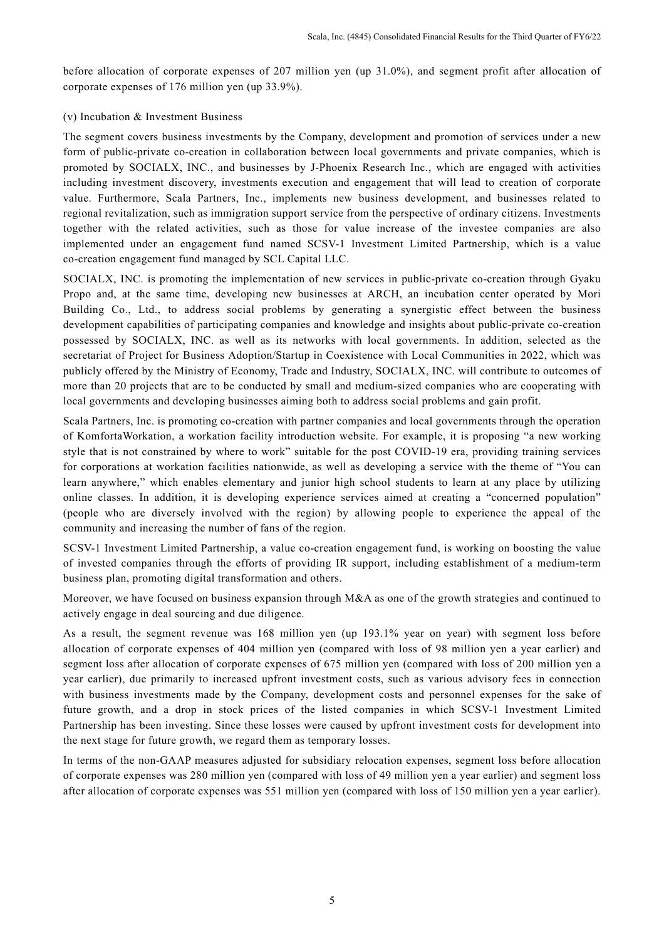before allocation of corporate expenses of 207 million yen (up 31.0%), and segment profit after allocation of corporate expenses of 176 million yen (up 33.9%).

## (v) Incubation & Investment Business

The segment covers business investments by the Company, development and promotion of services under a new form of public-private co-creation in collaboration between local governments and private companies, which is promoted by SOCIALX, INC., and businesses by J-Phoenix Research Inc., which are engaged with activities including investment discovery, investments execution and engagement that will lead to creation of corporate value. Furthermore, Scala Partners, Inc., implements new business development, and businesses related to regional revitalization, such as immigration support service from the perspective of ordinary citizens. Investments together with the related activities, such as those for value increase of the investee companies are also implemented under an engagement fund named SCSV-1 Investment Limited Partnership, which is a value co-creation engagement fund managed by SCL Capital LLC.

SOCIALX, INC. is promoting the implementation of new services in public-private co-creation through Gyaku Propo and, at the same time, developing new businesses at ARCH, an incubation center operated by Mori Building Co., Ltd., to address social problems by generating a synergistic effect between the business development capabilities of participating companies and knowledge and insights about public-private co-creation possessed by SOCIALX, INC. as well as its networks with local governments. In addition, selected as the secretariat of Project for Business Adoption/Startup in Coexistence with Local Communities in 2022, which was publicly offered by the Ministry of Economy, Trade and Industry, SOCIALX, INC. will contribute to outcomes of more than 20 projects that are to be conducted by small and medium-sized companies who are cooperating with local governments and developing businesses aiming both to address social problems and gain profit.

Scala Partners, Inc. is promoting co-creation with partner companies and local governments through the operation of KomfortaWorkation, a workation facility introduction website. For example, it is proposing "a new working style that is not constrained by where to work" suitable for the post COVID-19 era, providing training services for corporations at workation facilities nationwide, as well as developing a service with the theme of "You can learn anywhere," which enables elementary and junior high school students to learn at any place by utilizing online classes. In addition, it is developing experience services aimed at creating a "concerned population" (people who are diversely involved with the region) by allowing people to experience the appeal of the community and increasing the number of fans of the region.

SCSV-1 Investment Limited Partnership, a value co-creation engagement fund, is working on boosting the value of invested companies through the efforts of providing IR support, including establishment of a medium-term business plan, promoting digital transformation and others.

Moreover, we have focused on business expansion through M&A as one of the growth strategies and continued to actively engage in deal sourcing and due diligence.

As a result, the segment revenue was 168 million yen (up 193.1% year on year) with segment loss before allocation of corporate expenses of 404 million yen (compared with loss of 98 million yen a year earlier) and segment loss after allocation of corporate expenses of 675 million yen (compared with loss of 200 million yen a year earlier), due primarily to increased upfront investment costs, such as various advisory fees in connection with business investments made by the Company, development costs and personnel expenses for the sake of future growth, and a drop in stock prices of the listed companies in which SCSV-1 Investment Limited Partnership has been investing. Since these losses were caused by upfront investment costs for development into the next stage for future growth, we regard them as temporary losses.

In terms of the non-GAAP measures adjusted for subsidiary relocation expenses, segment loss before allocation of corporate expenses was 280 million yen (compared with loss of 49 million yen a year earlier) and segment loss after allocation of corporate expenses was 551 million yen (compared with loss of 150 million yen a year earlier).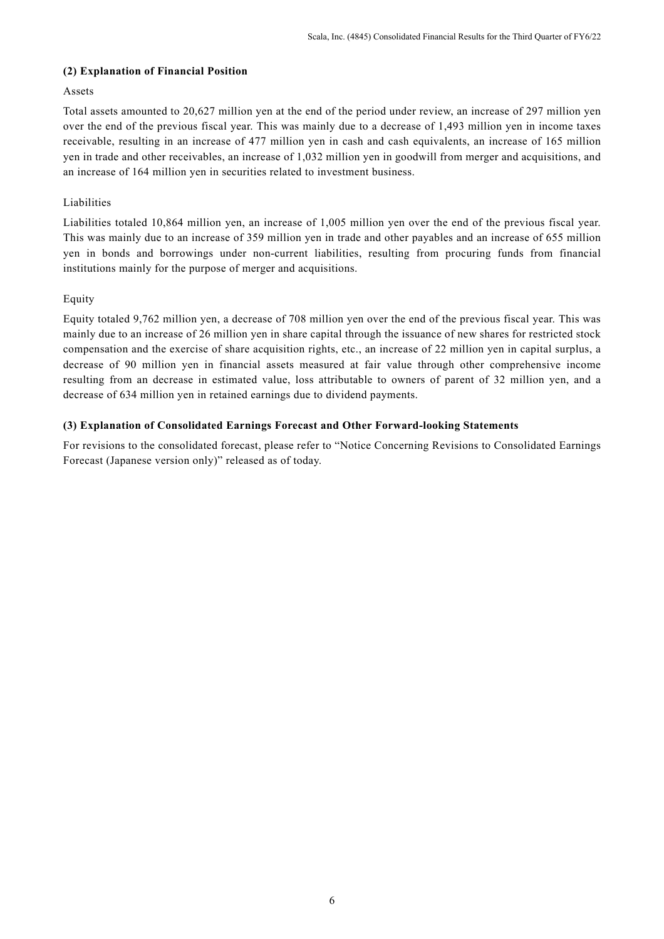## **(2) Explanation of Financial Position**

## Assets

Total assets amounted to 20,627 million yen at the end of the period under review, an increase of 297 million yen over the end of the previous fiscal year. This was mainly due to a decrease of 1,493 million yen in income taxes receivable, resulting in an increase of 477 million yen in cash and cash equivalents, an increase of 165 million yen in trade and other receivables, an increase of 1,032 million yen in goodwill from merger and acquisitions, and an increase of 164 million yen in securities related to investment business.

## Liabilities

Liabilities totaled 10,864 million yen, an increase of 1,005 million yen over the end of the previous fiscal year. This was mainly due to an increase of 359 million yen in trade and other payables and an increase of 655 million yen in bonds and borrowings under non-current liabilities, resulting from procuring funds from financial institutions mainly for the purpose of merger and acquisitions.

## Equity

Equity totaled 9,762 million yen, a decrease of 708 million yen over the end of the previous fiscal year. This was mainly due to an increase of 26 million yen in share capital through the issuance of new shares for restricted stock compensation and the exercise of share acquisition rights, etc., an increase of 22 million yen in capital surplus, a decrease of 90 million yen in financial assets measured at fair value through other comprehensive income resulting from an decrease in estimated value, loss attributable to owners of parent of 32 million yen, and a decrease of 634 million yen in retained earnings due to dividend payments.

## **(3) Explanation of Consolidated Earnings Forecast and Other Forward-looking Statements**

For revisions to the consolidated forecast, please refer to "Notice Concerning Revisions to Consolidated Earnings Forecast (Japanese version only)" released as of today.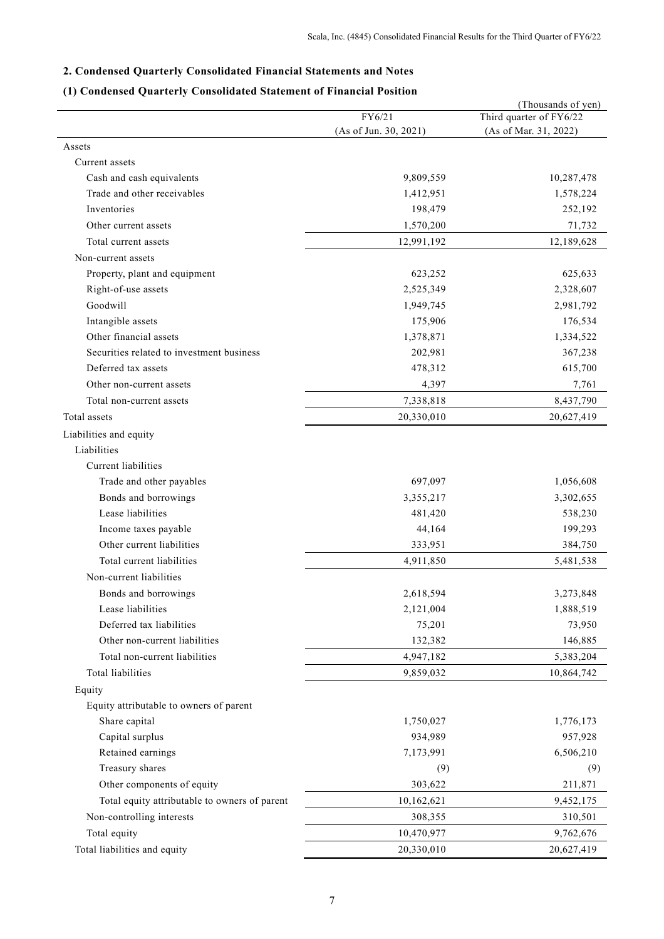## **2. Condensed Quarterly Consolidated Financial Statements and Notes**

## **(1) Condensed Quarterly Consolidated Statement of Financial Position**

|                                               |                       | (Thousands of yen)      |
|-----------------------------------------------|-----------------------|-------------------------|
|                                               | FY6/21                | Third quarter of FY6/22 |
|                                               | (As of Jun. 30, 2021) | (As of Mar. 31, 2022)   |
| Assets                                        |                       |                         |
| Current assets                                |                       |                         |
| Cash and cash equivalents                     | 9,809,559             | 10,287,478              |
| Trade and other receivables                   | 1,412,951             | 1,578,224               |
| Inventories                                   | 198,479               | 252,192                 |
| Other current assets                          | 1,570,200             | 71,732                  |
| Total current assets                          | 12,991,192            | 12,189,628              |
| Non-current assets                            |                       |                         |
| Property, plant and equipment                 | 623,252               | 625,633                 |
| Right-of-use assets                           | 2,525,349             | 2,328,607               |
| Goodwill                                      | 1,949,745             | 2,981,792               |
| Intangible assets                             | 175,906               | 176,534                 |
| Other financial assets                        | 1,378,871             | 1,334,522               |
| Securities related to investment business     | 202,981               | 367,238                 |
| Deferred tax assets                           | 478,312               | 615,700                 |
| Other non-current assets                      | 4,397                 | 7,761                   |
| Total non-current assets                      | 7,338,818             | 8,437,790               |
| Total assets                                  | 20,330,010            | 20,627,419              |
| Liabilities and equity                        |                       |                         |
| Liabilities                                   |                       |                         |
| Current liabilities                           |                       |                         |
| Trade and other payables                      | 697,097               | 1,056,608               |
| Bonds and borrowings                          | 3,355,217             | 3,302,655               |
| Lease liabilities                             | 481,420               | 538,230                 |
| Income taxes payable                          | 44,164                | 199,293                 |
| Other current liabilities                     | 333,951               | 384,750                 |
| Total current liabilities                     | 4,911,850             | 5,481,538               |
| Non-current liabilities                       |                       |                         |
| Bonds and borrowings                          | 2,618,594             | 3,273,848               |
| Lease liabilities                             | 2,121,004             | 1,888,519               |
| Deferred tax liabilities                      | 75,201                | 73,950                  |
| Other non-current liabilities                 | 132,382               | 146,885                 |
| Total non-current liabilities                 | 4,947,182             | 5,383,204               |
| Total liabilities                             | 9,859,032             | 10,864,742              |
| Equity                                        |                       |                         |
| Equity attributable to owners of parent       |                       |                         |
| Share capital                                 | 1,750,027             | 1,776,173               |
| Capital surplus                               | 934,989               | 957,928                 |
| Retained earnings                             | 7,173,991             | 6,506,210               |
| Treasury shares                               | (9)                   | (9)                     |
| Other components of equity                    | 303,622               | 211,871                 |
| Total equity attributable to owners of parent | 10,162,621            | 9,452,175               |
| Non-controlling interests                     | 308,355               | 310,501                 |
| Total equity                                  | 10,470,977            | 9,762,676               |
| Total liabilities and equity                  | 20,330,010            | 20,627,419              |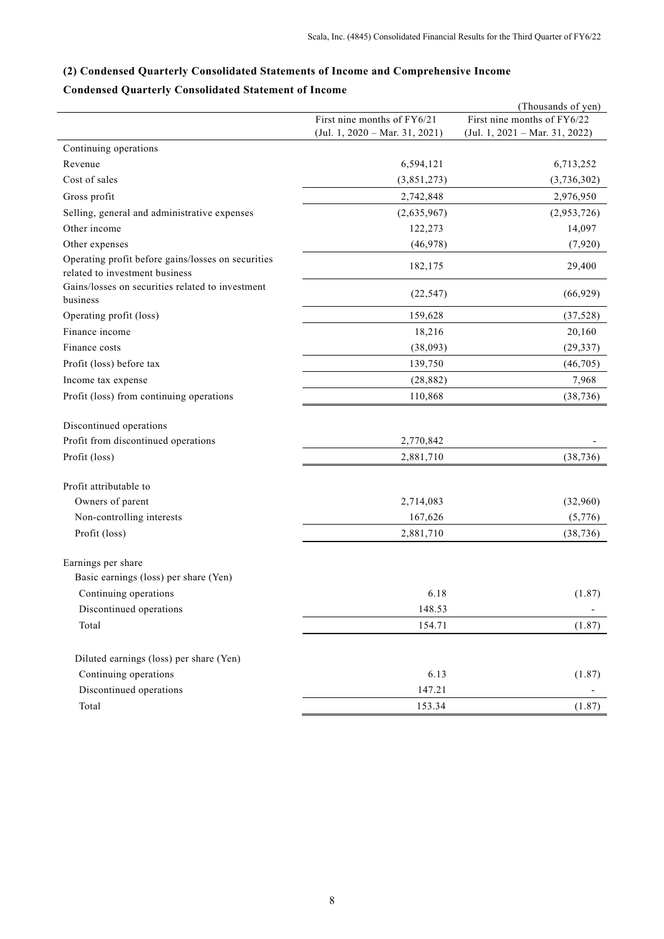# **(2) Condensed Quarterly Consolidated Statements of Income and Comprehensive Income**

## **Condensed Quarterly Consolidated Statement of Income**

|                                                                                      |                                  | (Thousands of yen)             |
|--------------------------------------------------------------------------------------|----------------------------------|--------------------------------|
|                                                                                      | First nine months of FY6/21      | First nine months of FY6/22    |
|                                                                                      | $(Jul. 1, 2020 - Mar. 31, 2021)$ | (Jul. 1, 2021 - Mar. 31, 2022) |
| Continuing operations                                                                |                                  |                                |
| Revenue                                                                              | 6,594,121                        | 6,713,252                      |
| Cost of sales                                                                        | (3,851,273)                      | (3,736,302)                    |
| Gross profit                                                                         | 2,742,848                        | 2,976,950                      |
| Selling, general and administrative expenses                                         | (2,635,967)                      | (2,953,726)                    |
| Other income                                                                         | 122,273                          | 14,097                         |
| Other expenses                                                                       | (46,978)                         | (7,920)                        |
| Operating profit before gains/losses on securities<br>related to investment business | 182,175                          | 29,400                         |
| Gains/losses on securities related to investment<br>business                         | (22, 547)                        | (66, 929)                      |
| Operating profit (loss)                                                              | 159,628                          | (37, 528)                      |
| Finance income                                                                       | 18,216                           | 20,160                         |
| Finance costs                                                                        | (38,093)                         | (29, 337)                      |
| Profit (loss) before tax                                                             | 139,750                          | (46,705)                       |
| Income tax expense                                                                   | (28, 882)                        | 7,968                          |
| Profit (loss) from continuing operations                                             | 110,868                          | (38, 736)                      |
| Discontinued operations                                                              |                                  |                                |
| Profit from discontinued operations                                                  | 2,770,842                        |                                |
| Profit (loss)                                                                        | 2,881,710                        | (38, 736)                      |
| Profit attributable to                                                               |                                  |                                |
| Owners of parent                                                                     | 2,714,083                        | (32,960)                       |
| Non-controlling interests                                                            | 167,626                          | (5,776)                        |
| Profit (loss)                                                                        | 2,881,710                        | (38, 736)                      |
| Earnings per share                                                                   |                                  |                                |
| Basic earnings (loss) per share (Yen)                                                |                                  |                                |
| Continuing operations                                                                | 6.18                             | (1.87)                         |
| Discontinued operations                                                              | 148.53                           |                                |
| Total                                                                                | 154.71                           | (1.87)                         |
| Diluted earnings (loss) per share (Yen)                                              |                                  |                                |
| Continuing operations                                                                | 6.13                             | (1.87)                         |
| Discontinued operations                                                              | 147.21                           |                                |
| Total                                                                                | 153.34                           | (1.87)                         |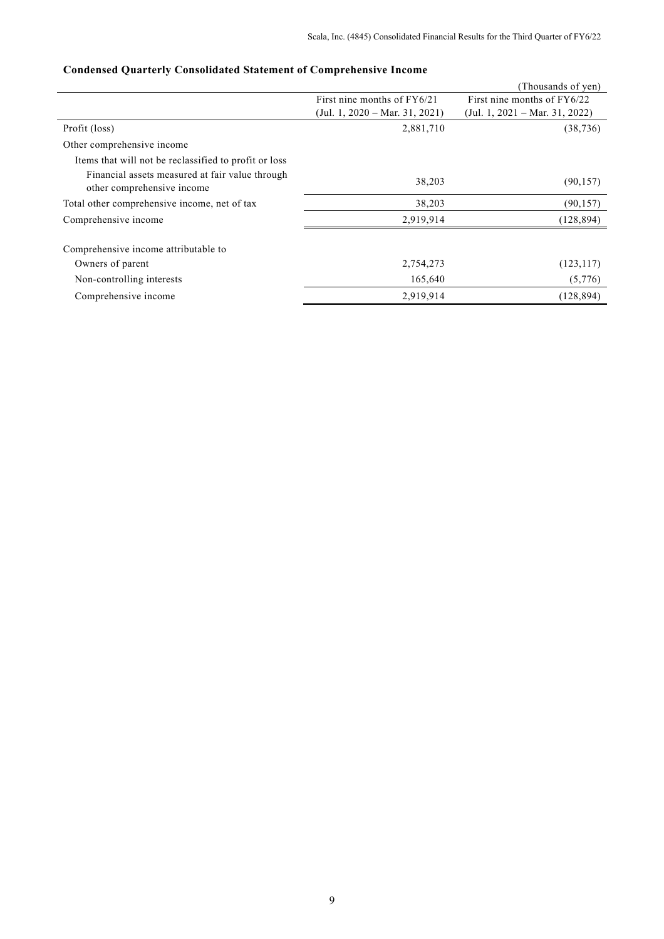|                                                                               |                                | (Thousands of yen)             |
|-------------------------------------------------------------------------------|--------------------------------|--------------------------------|
|                                                                               | First nine months of $FY6/21$  | First nine months of $FY6/22$  |
|                                                                               | (Jul. 1, 2020 – Mar. 31, 2021) | (Jul. 1, 2021 – Mar. 31, 2022) |
| Profit (loss)                                                                 | 2,881,710                      | (38, 736)                      |
| Other comprehensive income                                                    |                                |                                |
| Items that will not be reclassified to profit or loss                         |                                |                                |
| Financial assets measured at fair value through<br>other comprehensive income | 38,203                         | (90, 157)                      |
| Total other comprehensive income, net of tax                                  | 38,203                         | (90, 157)                      |
| Comprehensive income                                                          | 2,919,914                      | (128, 894)                     |
| Comprehensive income attributable to                                          |                                |                                |
| Owners of parent                                                              | 2,754,273                      | (123, 117)                     |
| Non-controlling interests                                                     | 165,640                        | (5,776)                        |
| Comprehensive income                                                          | 2,919,914                      | (128, 894)                     |

## **Condensed Quarterly Consolidated Statement of Comprehensive Income**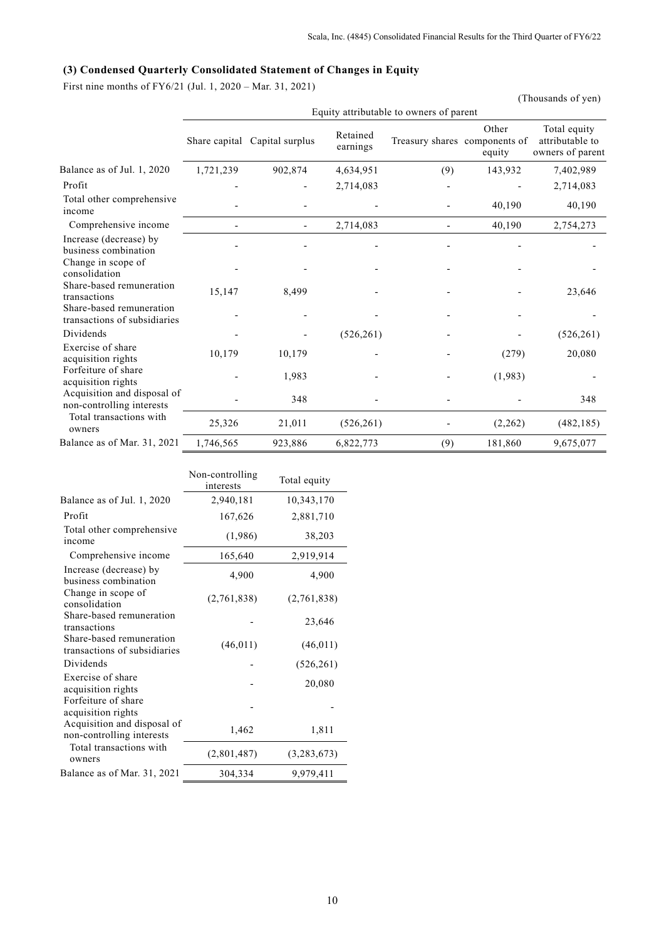## **(3) Condensed Quarterly Consolidated Statement of Changes in Equity**

First nine months of FY6/21 (Jul. 1, 2020 – Mar. 31, 2021)

|                                                          |                                         |                               |                      |                               |                 | (Thousands of yen)                                  |  |  |  |
|----------------------------------------------------------|-----------------------------------------|-------------------------------|----------------------|-------------------------------|-----------------|-----------------------------------------------------|--|--|--|
|                                                          | Equity attributable to owners of parent |                               |                      |                               |                 |                                                     |  |  |  |
|                                                          |                                         | Share capital Capital surplus | Retained<br>earnings | Treasury shares components of | Other<br>equity | Total equity<br>attributable to<br>owners of parent |  |  |  |
| Balance as of Jul. 1, 2020                               | 1,721,239                               | 902,874                       | 4,634,951            | (9)                           | 143,932         | 7,402,989                                           |  |  |  |
| Profit                                                   |                                         |                               | 2,714,083            |                               |                 | 2,714,083                                           |  |  |  |
| Total other comprehensive<br>income                      |                                         |                               |                      |                               | 40,190          | 40,190                                              |  |  |  |
| Comprehensive income                                     |                                         |                               | 2,714,083            |                               | 40,190          | 2,754,273                                           |  |  |  |
| Increase (decrease) by<br>business combination           |                                         |                               |                      |                               |                 |                                                     |  |  |  |
| Change in scope of<br>consolidation                      |                                         |                               |                      |                               |                 |                                                     |  |  |  |
| Share-based remuneration<br>transactions                 | 15,147                                  | 8,499                         |                      |                               |                 | 23,646                                              |  |  |  |
| Share-based remuneration<br>transactions of subsidiaries |                                         |                               |                      |                               |                 |                                                     |  |  |  |
| Dividends                                                |                                         |                               | (526, 261)           |                               |                 | (526, 261)                                          |  |  |  |
| Exercise of share<br>acquisition rights                  | 10,179                                  | 10,179                        |                      |                               | (279)           | 20,080                                              |  |  |  |
| Forfeiture of share<br>acquisition rights                |                                         | 1,983                         |                      |                               | (1,983)         |                                                     |  |  |  |
| Acquisition and disposal of<br>non-controlling interests |                                         | 348                           |                      |                               |                 | 348                                                 |  |  |  |
| Total transactions with<br>owners                        | 25,326                                  | 21,011                        | (526, 261)           |                               | (2,262)         | (482, 185)                                          |  |  |  |
| Balance as of Mar. 31, 2021                              | 1,746,565                               | 923,886                       | 6,822,773            | (9)                           | 181,860         | 9,675,077                                           |  |  |  |
|                                                          |                                         |                               |                      |                               |                 |                                                     |  |  |  |

|                                                          | Non-controlling<br>interests | Total equity |
|----------------------------------------------------------|------------------------------|--------------|
| Balance as of Jul. 1, 2020                               | 2,940,181                    | 10,343,170   |
| Profit                                                   | 167,626                      | 2,881,710    |
| Total other comprehensive<br>income                      | (1,986)                      | 38,203       |
| Comprehensive income                                     | 165,640                      | 2,919,914    |
| Increase (decrease) by<br>business combination           | 4,900                        | 4,900        |
| Change in scope of<br>consolidation                      | (2,761,838)                  | (2,761,838)  |
| Share-based remuneration<br>transactions                 |                              | 23,646       |
| Share-based remuneration<br>transactions of subsidiaries | (46, 011)                    | (46, 011)    |
| Dividends                                                |                              | (526, 261)   |
| Exercise of share<br>acquisition rights                  |                              | 20,080       |
| Forfeiture of share<br>acquisition rights                |                              |              |
| Acquisition and disposal of<br>non-controlling interests | 1,462                        | 1,811        |
| Total transactions with<br>owners                        | (2,801,487)                  | (3,283,673)  |
| Balance as of Mar. 31, 2021                              | 304,334                      | 9,979,411    |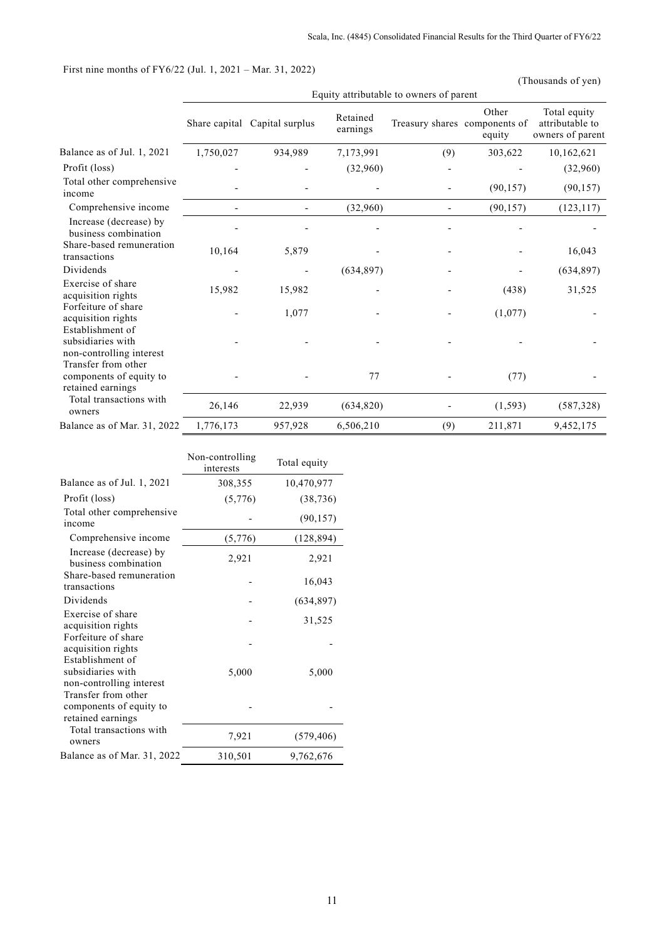## First nine months of FY6/22 (Jul. 1, 2021 – Mar. 31, 2022)

(Thousands of yen)

|                                                                     | Equity attributable to owners of parent |                               |                      |     |                                                  |                                                     |  |  |
|---------------------------------------------------------------------|-----------------------------------------|-------------------------------|----------------------|-----|--------------------------------------------------|-----------------------------------------------------|--|--|
|                                                                     |                                         | Share capital Capital surplus | Retained<br>earnings |     | Other<br>Treasury shares components of<br>equity | Total equity<br>attributable to<br>owners of parent |  |  |
| Balance as of Jul. 1, 2021                                          | 1,750,027                               | 934,989                       | 7,173,991            | (9) | 303,622                                          | 10,162,621                                          |  |  |
| Profit (loss)                                                       |                                         |                               | (32,960)             |     |                                                  | (32,960)                                            |  |  |
| Total other comprehensive<br>income                                 |                                         |                               |                      |     | (90, 157)                                        | (90, 157)                                           |  |  |
| Comprehensive income                                                |                                         |                               | (32,960)             |     | (90, 157)                                        | (123, 117)                                          |  |  |
| Increase (decrease) by<br>business combination                      |                                         |                               |                      |     |                                                  |                                                     |  |  |
| Share-based remuneration<br>transactions                            | 10,164                                  | 5,879                         |                      |     |                                                  | 16,043                                              |  |  |
| Dividends                                                           |                                         |                               | (634, 897)           |     |                                                  | (634, 897)                                          |  |  |
| Exercise of share<br>acquisition rights                             | 15,982                                  | 15,982                        |                      |     | (438)                                            | 31,525                                              |  |  |
| Forfeiture of share<br>acquisition rights                           |                                         | 1,077                         |                      |     | (1,077)                                          |                                                     |  |  |
| Establishment of<br>subsidiaries with<br>non-controlling interest   |                                         |                               |                      |     |                                                  |                                                     |  |  |
| Transfer from other<br>components of equity to<br>retained earnings |                                         |                               | 77                   |     | (77)                                             |                                                     |  |  |
| Total transactions with<br>owners                                   | 26,146                                  | 22,939                        | (634, 820)           |     | (1, 593)                                         | (587, 328)                                          |  |  |
| Balance as of Mar. 31, 2022                                         | 1,776,173                               | 957,928                       | 6,506,210            | (9) | 211,871                                          | 9,452,175                                           |  |  |

|                                                                     | Non-controlling<br>interests | Total equity |
|---------------------------------------------------------------------|------------------------------|--------------|
| Balance as of Jul. 1, 2021                                          | 308,355                      | 10,470,977   |
| Profit (loss)                                                       | (5,776)                      | (38, 736)    |
| Total other comprehensive<br>income                                 |                              | (90, 157)    |
| Comprehensive income                                                | (5,776)                      | (128, 894)   |
| Increase (decrease) by<br>business combination                      | 2,921                        | 2,921        |
| Share-based remuneration<br>transactions                            |                              | 16,043       |
| Dividends                                                           |                              | (634, 897)   |
| Exercise of share<br>acquisition rights                             |                              | 31,525       |
| Forfeiture of share<br>acquisition rights<br>Establishment of       |                              |              |
| subsidiaries with<br>non-controlling interest                       | 5,000                        | 5,000        |
| Transfer from other<br>components of equity to<br>retained earnings |                              |              |
| Total transactions with<br>owners                                   | 7,921                        | (579, 406)   |
| Balance as of Mar. 31, 2022                                         | 310,501                      | 9,762,676    |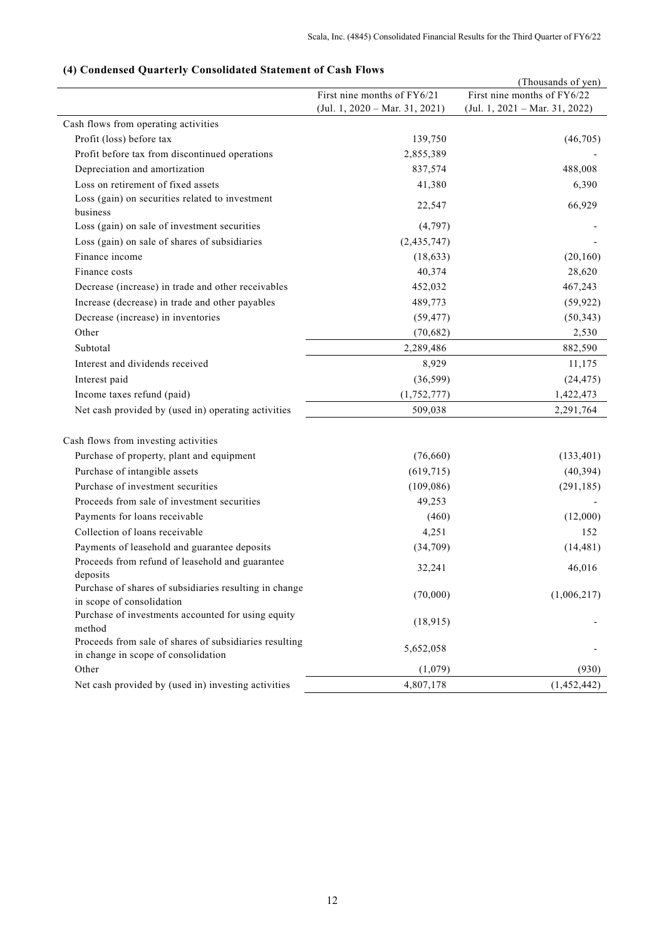## **(4) Condensed Quarterly Consolidated Statement of Cash Flows**

|                                                                                               |                                  | (Thousands of yen)               |
|-----------------------------------------------------------------------------------------------|----------------------------------|----------------------------------|
|                                                                                               | First nine months of FY6/21      | First nine months of FY6/22      |
|                                                                                               | $(Jul. 1, 2020 - Mar. 31, 2021)$ | $(Jul. 1, 2021 - Mar. 31, 2022)$ |
| Cash flows from operating activities                                                          |                                  |                                  |
| Profit (loss) before tax                                                                      | 139,750                          | (46,705)                         |
| Profit before tax from discontinued operations                                                | 2,855,389                        |                                  |
| Depreciation and amortization                                                                 | 837,574                          | 488,008                          |
| Loss on retirement of fixed assets                                                            | 41,380                           | 6,390                            |
| Loss (gain) on securities related to investment<br>business                                   | 22,547                           | 66,929                           |
| Loss (gain) on sale of investment securities                                                  | (4,797)                          |                                  |
| Loss (gain) on sale of shares of subsidiaries                                                 | (2,435,747)                      |                                  |
| Finance income                                                                                | (18, 633)                        | (20, 160)                        |
| Finance costs                                                                                 | 40,374                           | 28,620                           |
| Decrease (increase) in trade and other receivables                                            | 452,032                          | 467,243                          |
| Increase (decrease) in trade and other payables                                               | 489,773                          | (59, 922)                        |
| Decrease (increase) in inventories                                                            | (59, 477)                        | (50, 343)                        |
| Other                                                                                         | (70, 682)                        | 2,530                            |
| Subtotal                                                                                      | 2,289,486                        | 882,590                          |
| Interest and dividends received                                                               | 8,929                            | 11,175                           |
| Interest paid                                                                                 | (36, 599)                        | (24, 475)                        |
| Income taxes refund (paid)                                                                    | (1,752,777)                      | 1,422,473                        |
| Net cash provided by (used in) operating activities                                           | 509,038                          | 2,291,764                        |
|                                                                                               |                                  |                                  |
| Cash flows from investing activities                                                          |                                  |                                  |
| Purchase of property, plant and equipment                                                     | (76,660)                         | (133, 401)                       |
| Purchase of intangible assets                                                                 | (619, 715)                       | (40, 394)                        |
| Purchase of investment securities                                                             | (109, 086)                       | (291, 185)                       |
| Proceeds from sale of investment securities                                                   | 49,253                           |                                  |
| Payments for loans receivable                                                                 | (460)                            | (12,000)                         |
| Collection of loans receivable                                                                | 4,251                            | 152                              |
| Payments of leasehold and guarantee deposits                                                  | (34,709)                         | (14, 481)                        |
| Proceeds from refund of leasehold and guarantee<br>deposits                                   | 32,241                           | 46,016                           |
| Purchase of shares of subsidiaries resulting in change<br>in scope of consolidation           | (70,000)                         | (1,006,217)                      |
| Purchase of investments accounted for using equity<br>method                                  | (18, 915)                        |                                  |
| Proceeds from sale of shares of subsidiaries resulting<br>in change in scope of consolidation | 5,652,058                        |                                  |
| Other                                                                                         | (1,079)                          | (930)                            |
| Net cash provided by (used in) investing activities                                           | 4,807,178                        | (1,452,442)                      |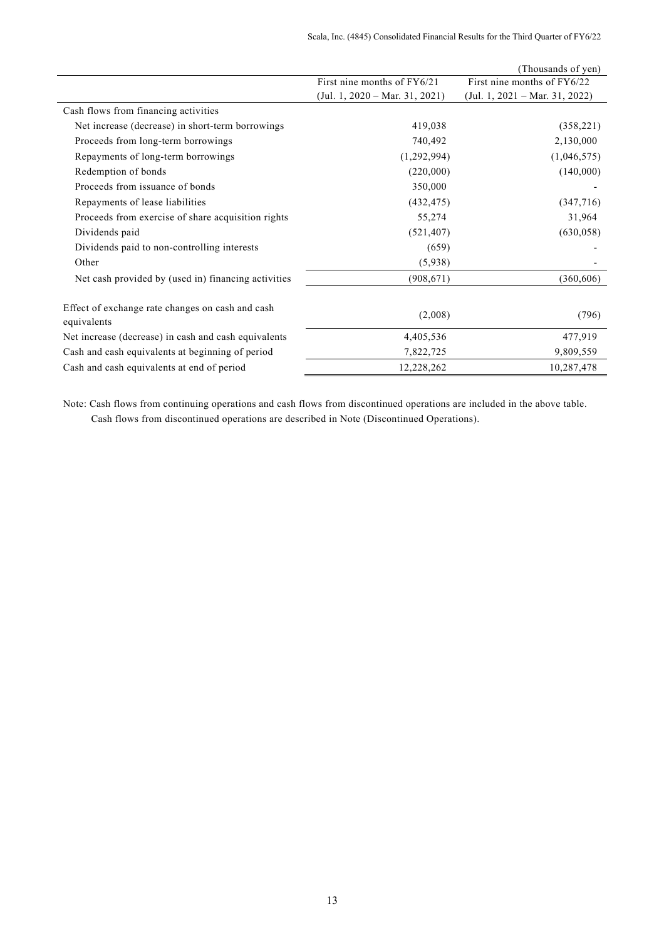|                                                                 |                                  | (Thousands of yen)             |
|-----------------------------------------------------------------|----------------------------------|--------------------------------|
|                                                                 | First nine months of FY6/21      | First nine months of FY6/22    |
|                                                                 | $(Jul. 1, 2020 - Mar. 31, 2021)$ | (Jul. 1, 2021 – Mar. 31, 2022) |
| Cash flows from financing activities                            |                                  |                                |
| Net increase (decrease) in short-term borrowings                | 419,038                          | (358, 221)                     |
| Proceeds from long-term borrowings                              | 740,492                          | 2,130,000                      |
| Repayments of long-term borrowings                              | (1,292,994)                      | (1,046,575)                    |
| Redemption of bonds                                             | (220,000)                        | (140,000)                      |
| Proceeds from issuance of bonds                                 | 350,000                          |                                |
| Repayments of lease liabilities                                 | (432, 475)                       | (347,716)                      |
| Proceeds from exercise of share acquisition rights              | 55,274                           | 31,964                         |
| Dividends paid                                                  | (521, 407)                       | (630, 058)                     |
| Dividends paid to non-controlling interests                     | (659)                            |                                |
| Other                                                           | (5,938)                          |                                |
| Net cash provided by (used in) financing activities             | (908, 671)                       | (360,606)                      |
| Effect of exchange rate changes on cash and cash<br>equivalents | (2,008)                          | (796)                          |
| Net increase (decrease) in cash and cash equivalents            | 4,405,536                        | 477,919                        |
| Cash and cash equivalents at beginning of period                | 7,822,725                        | 9,809,559                      |
| Cash and cash equivalents at end of period                      | 12,228,262                       | 10,287,478                     |

Note: Cash flows from continuing operations and cash flows from discontinued operations are included in the above table. Cash flows from discontinued operations are described in Note (Discontinued Operations).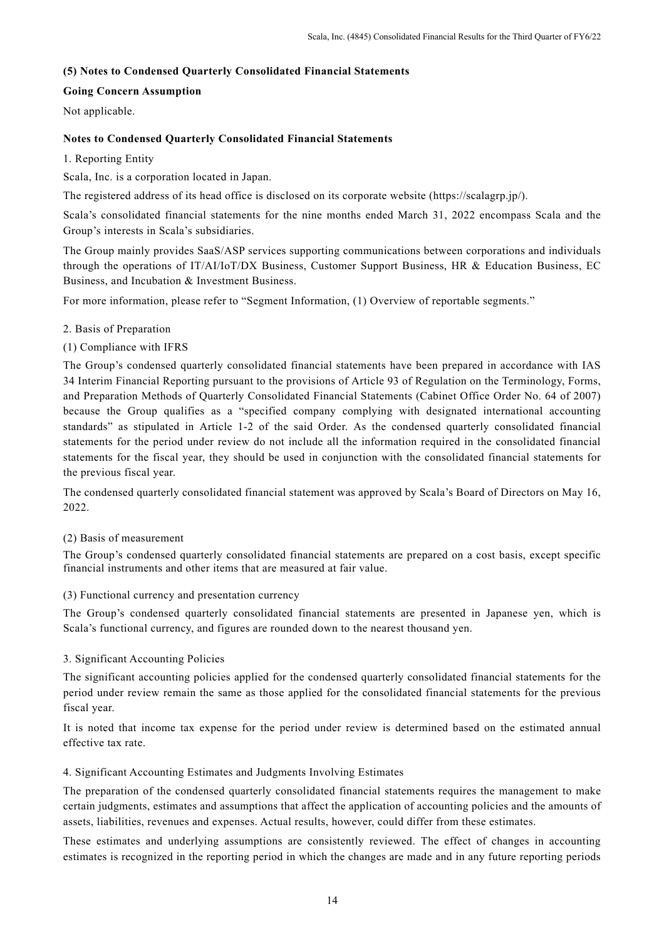## **(5) Notes to Condensed Quarterly Consolidated Financial Statements**

## **Going Concern Assumption**

Not applicable.

## **Notes to Condensed Quarterly Consolidated Financial Statements**

## 1. Reporting Entity

Scala, Inc. is a corporation located in Japan.

The registered address of its head office is disclosed on its corporate website (https://scalagrp.jp/).

Scala's consolidated financial statements for the nine months ended March 31, 2022 encompass Scala and the Group's interests in Scala's subsidiaries.

The Group mainly provides SaaS/ASP services supporting communications between corporations and individuals through the operations of IT/AI/IoT/DX Business, Customer Support Business, HR & Education Business, EC Business, and Incubation & Investment Business.

For more information, please refer to "Segment Information, (1) Overview of reportable segments."

## 2. Basis of Preparation

## (1) Compliance with IFRS

The Group's condensed quarterly consolidated financial statements have been prepared in accordance with IAS 34 Interim Financial Reporting pursuant to the provisions of Article 93 of Regulation on the Terminology, Forms, and Preparation Methods of Quarterly Consolidated Financial Statements (Cabinet Office Order No. 64 of 2007) because the Group qualifies as a "specified company complying with designated international accounting standards" as stipulated in Article 1-2 of the said Order. As the condensed quarterly consolidated financial statements for the period under review do not include all the information required in the consolidated financial statements for the fiscal year, they should be used in conjunction with the consolidated financial statements for the previous fiscal year.

The condensed quarterly consolidated financial statement was approved by Scala's Board of Directors on May 16, 2022.

## (2) Basis of measurement

The Group's condensed quarterly consolidated financial statements are prepared on a cost basis, except specific financial instruments and other items that are measured at fair value.

## (3) Functional currency and presentation currency

The Group's condensed quarterly consolidated financial statements are presented in Japanese yen, which is Scala's functional currency, and figures are rounded down to the nearest thousand yen.

## 3. Significant Accounting Policies

The significant accounting policies applied for the condensed quarterly consolidated financial statements for the period under review remain the same as those applied for the consolidated financial statements for the previous fiscal year.

It is noted that income tax expense for the period under review is determined based on the estimated annual effective tax rate.

## 4. Significant Accounting Estimates and Judgments Involving Estimates

The preparation of the condensed quarterly consolidated financial statements requires the management to make certain judgments, estimates and assumptions that affect the application of accounting policies and the amounts of assets, liabilities, revenues and expenses. Actual results, however, could differ from these estimates.

These estimates and underlying assumptions are consistently reviewed. The effect of changes in accounting estimates is recognized in the reporting period in which the changes are made and in any future reporting periods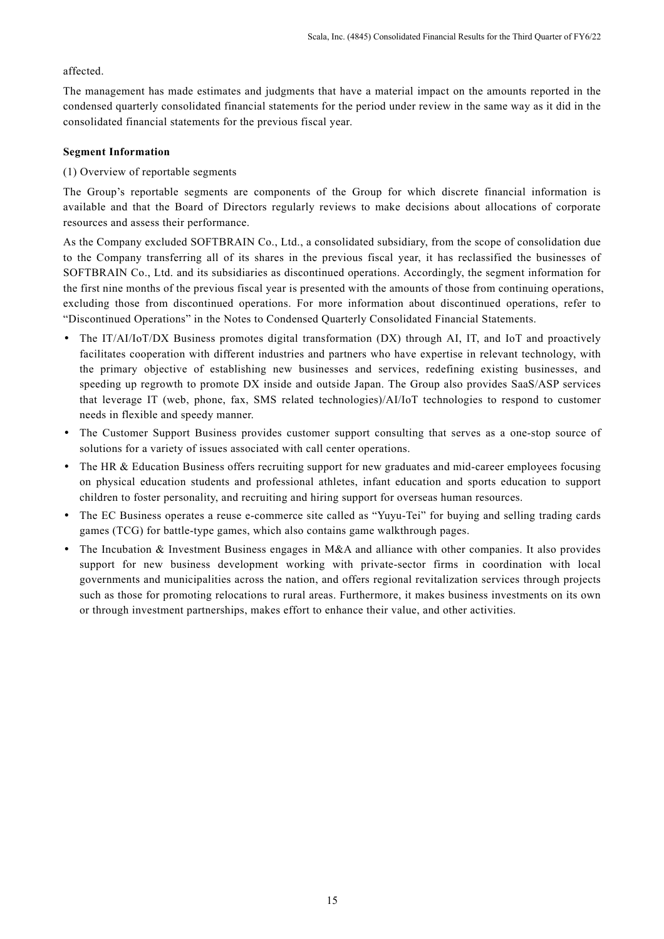## affected.

The management has made estimates and judgments that have a material impact on the amounts reported in the condensed quarterly consolidated financial statements for the period under review in the same way as it did in the consolidated financial statements for the previous fiscal year.

## **Segment Information**

## (1) Overview of reportable segments

The Group's reportable segments are components of the Group for which discrete financial information is available and that the Board of Directors regularly reviews to make decisions about allocations of corporate resources and assess their performance.

As the Company excluded SOFTBRAIN Co., Ltd., a consolidated subsidiary, from the scope of consolidation due to the Company transferring all of its shares in the previous fiscal year, it has reclassified the businesses of SOFTBRAIN Co., Ltd. and its subsidiaries as discontinued operations. Accordingly, the segment information for the first nine months of the previous fiscal year is presented with the amounts of those from continuing operations, excluding those from discontinued operations. For more information about discontinued operations, refer to "Discontinued Operations" in the Notes to Condensed Quarterly Consolidated Financial Statements.

- The IT/AI/IoT/DX Business promotes digital transformation (DX) through AI, IT, and IoT and proactively facilitates cooperation with different industries and partners who have expertise in relevant technology, with the primary objective of establishing new businesses and services, redefining existing businesses, and speeding up regrowth to promote DX inside and outside Japan. The Group also provides SaaS/ASP services that leverage IT (web, phone, fax, SMS related technologies)/AI/IoT technologies to respond to customer needs in flexible and speedy manner.
- The Customer Support Business provides customer support consulting that serves as a one-stop source of solutions for a variety of issues associated with call center operations.
- The HR & Education Business offers recruiting support for new graduates and mid-career employees focusing on physical education students and professional athletes, infant education and sports education to support children to foster personality, and recruiting and hiring support for overseas human resources.
- The EC Business operates a reuse e-commerce site called as "Yuyu-Tei" for buying and selling trading cards games (TCG) for battle-type games, which also contains game walkthrough pages.
- The Incubation & Investment Business engages in M&A and alliance with other companies. It also provides support for new business development working with private-sector firms in coordination with local governments and municipalities across the nation, and offers regional revitalization services through projects such as those for promoting relocations to rural areas. Furthermore, it makes business investments on its own or through investment partnerships, makes effort to enhance their value, and other activities.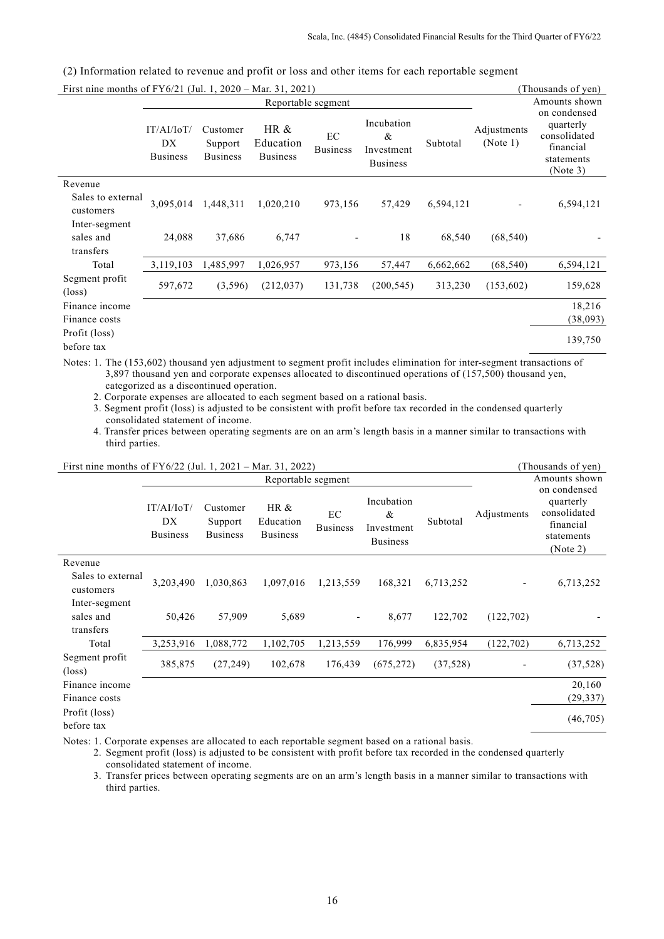| First nine months of $FY6/21$ (Jul. 1, 2020 – Mar. 31, 2021) |                                     |                                        |                                         |                       |                                                  |           |                         | (Thousands of yen)                                                               |
|--------------------------------------------------------------|-------------------------------------|----------------------------------------|-----------------------------------------|-----------------------|--------------------------------------------------|-----------|-------------------------|----------------------------------------------------------------------------------|
|                                                              |                                     |                                        |                                         | Reportable segment    |                                                  |           |                         | Amounts shown                                                                    |
|                                                              | IT/AI/IoT/<br>DX<br><b>Business</b> | Customer<br>Support<br><b>Business</b> | HR $\&$<br>Education<br><b>Business</b> | EC<br><b>Business</b> | Incubation<br>&<br>Investment<br><b>Business</b> | Subtotal  | Adjustments<br>(Note 1) | on condensed<br>quarterly<br>consolidated<br>financial<br>statements<br>(Note 3) |
| Revenue                                                      |                                     |                                        |                                         |                       |                                                  |           |                         |                                                                                  |
| Sales to external<br>customers                               | 3,095,014                           | 1,448,311                              | 1,020,210                               | 973,156               | 57,429                                           | 6,594,121 |                         | 6,594,121                                                                        |
| Inter-segment<br>sales and<br>transfers                      | 24,088                              | 37,686                                 | 6,747                                   |                       | 18                                               | 68,540    | (68, 540)               |                                                                                  |
| Total                                                        | 3,119,103                           | 1,485,997                              | 1,026,957                               | 973,156               | 57,447                                           | 6,662,662 | (68, 540)               | 6,594,121                                                                        |
| Segment profit<br>$(\text{loss})$                            | 597,672                             | (3,596)                                | (212, 037)                              | 131,738               | (200, 545)                                       | 313,230   | (153,602)               | 159,628                                                                          |
| Finance income<br>Finance costs                              |                                     |                                        |                                         |                       |                                                  |           |                         | 18,216<br>(38,093)                                                               |
| Profit (loss)<br>before tax                                  |                                     |                                        |                                         |                       |                                                  |           |                         | 139,750                                                                          |

(2) Information related to revenue and profit or loss and other items for each reportable segment

Notes: 1. The (153,602) thousand yen adjustment to segment profit includes elimination for inter-segment transactions of 3,897 thousand yen and corporate expenses allocated to discontinued operations of (157,500) thousand yen, categorized as a discontinued operation.

2. Corporate expenses are allocated to each segment based on a rational basis.

3. Segment profit (loss) is adjusted to be consistent with profit before tax recorded in the condensed quarterly consolidated statement of income.

4. Transfer prices between operating segments are on an arm's length basis in a manner similar to transactions with third parties.

| First nine months of $FY6/22$ (Jul. 1, 2021 – Mar. 31, 2022) |  |
|--------------------------------------------------------------|--|
|                                                              |  |

| First nine months of FY6/22 (Jul. 1, 2021 – Mar. 31, 2022) |                                     |                                        |                                      |                       |                                                  | (Thousands of yen) |             |                                                                                  |
|------------------------------------------------------------|-------------------------------------|----------------------------------------|--------------------------------------|-----------------------|--------------------------------------------------|--------------------|-------------|----------------------------------------------------------------------------------|
|                                                            |                                     |                                        | Reportable segment                   |                       |                                                  |                    |             | Amounts shown                                                                    |
|                                                            | IT/AI/IoT/<br>DX<br><b>Business</b> | Customer<br>Support<br><b>Business</b> | HR &<br>Education<br><b>Business</b> | EC<br><b>Business</b> | Incubation<br>&<br>Investment<br><b>Business</b> | Subtotal           | Adjustments | on condensed<br>quarterly<br>consolidated<br>financial<br>statements<br>(Note 2) |
| Revenue                                                    |                                     |                                        |                                      |                       |                                                  |                    |             |                                                                                  |
| Sales to external<br>customers                             | 3,203,490                           | 1,030,863                              | 1,097,016                            | 1,213,559             | 168,321                                          | 6,713,252          |             | 6,713,252                                                                        |
| Inter-segment<br>sales and<br>transfers                    | 50,426                              | 57,909                                 | 5,689                                |                       | 8,677                                            | 122,702            | (122, 702)  |                                                                                  |
| Total                                                      | 3,253,916                           | 1,088,772                              | 1,102,705                            | 1,213,559             | 176,999                                          | 6,835,954          | (122, 702)  | 6,713,252                                                                        |
| Segment profit<br>$(\text{loss})$                          | 385,875                             | (27, 249)                              | 102,678                              | 176,439               | (675, 272)                                       | (37,528)           |             | (37,528)                                                                         |
| Finance income<br>Finance costs                            |                                     |                                        |                                      |                       |                                                  |                    |             | 20,160<br>(29, 337)                                                              |
| Profit (loss)<br>before tax                                |                                     |                                        |                                      |                       |                                                  |                    |             | (46,705)                                                                         |

Notes: 1. Corporate expenses are allocated to each reportable segment based on a rational basis.

2. Segment profit (loss) is adjusted to be consistent with profit before tax recorded in the condensed quarterly consolidated statement of income.

3. Transfer prices between operating segments are on an arm's length basis in a manner similar to transactions with third parties.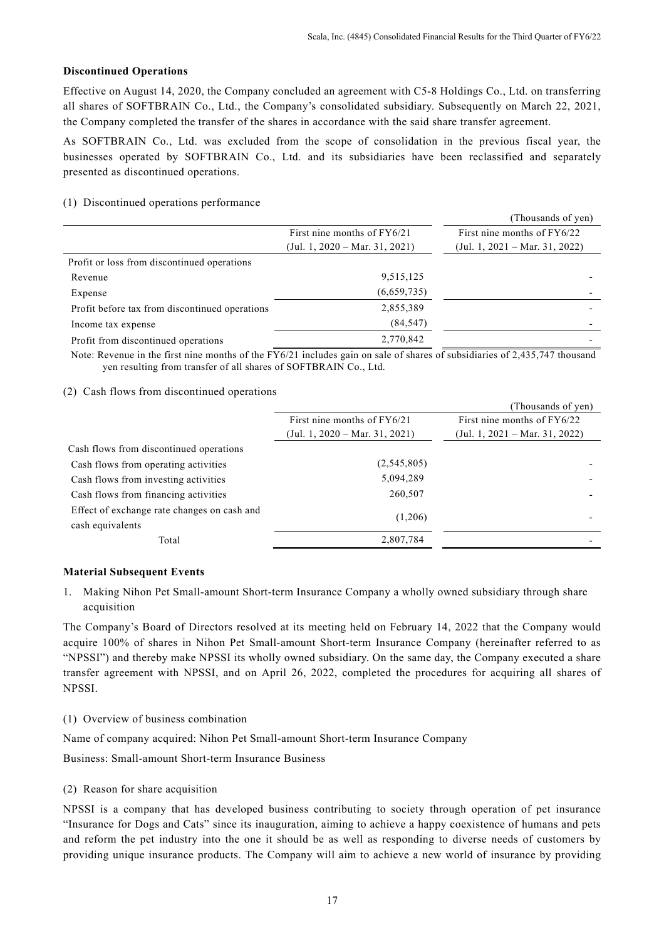## **Discontinued Operations**

Effective on August 14, 2020, the Company concluded an agreement with C5-8 Holdings Co., Ltd. on transferring all shares of SOFTBRAIN Co., Ltd., the Company's consolidated subsidiary. Subsequently on March 22, 2021, the Company completed the transfer of the shares in accordance with the said share transfer agreement.

As SOFTBRAIN Co., Ltd. was excluded from the scope of consolidation in the previous fiscal year, the businesses operated by SOFTBRAIN Co., Ltd. and its subsidiaries have been reclassified and separately presented as discontinued operations.

## (1) Discontinued operations performance

|                                                |                                | (Thousands of yen)               |
|------------------------------------------------|--------------------------------|----------------------------------|
|                                                | First nine months of $FY6/21$  | First nine months of FY6/22      |
|                                                | (Jul. 1, 2020 – Mar. 31, 2021) | $(Jul. 1, 2021 - Mar. 31, 2022)$ |
| Profit or loss from discontinued operations    |                                |                                  |
| Revenue                                        | 9,515,125                      |                                  |
| Expense                                        | (6,659,735)                    |                                  |
| Profit before tax from discontinued operations | 2,855,389                      |                                  |
| Income tax expense                             | (84, 547)                      |                                  |
| Profit from discontinued operations            | 2,770,842                      |                                  |

Note: Revenue in the first nine months of the FY6/21 includes gain on sale of shares of subsidiaries of 2,435,747 thousand yen resulting from transfer of all shares of SOFTBRAIN Co., Ltd.

## (2) Cash flows from discontinued operations

|                                             |                                  | (Thousands of yen)             |
|---------------------------------------------|----------------------------------|--------------------------------|
|                                             | First nine months of $FY6/21$    | First nine months of FY6/22    |
|                                             | $(Jul. 1, 2020 - Mar. 31, 2021)$ | (Jul. 1, 2021 – Mar. 31, 2022) |
| Cash flows from discontinued operations     |                                  |                                |
| Cash flows from operating activities        | (2, 545, 805)                    |                                |
| Cash flows from investing activities        | 5,094,289                        |                                |
| Cash flows from financing activities        | 260,507                          |                                |
| Effect of exchange rate changes on cash and | (1,206)                          |                                |
| cash equivalents                            |                                  |                                |
| Total                                       | 2,807,784                        |                                |
|                                             |                                  |                                |

## **Material Subsequent Events**

1. Making Nihon Pet Small-amount Short-term Insurance Company a wholly owned subsidiary through share acquisition

The Company's Board of Directors resolved at its meeting held on February 14, 2022 that the Company would acquire 100% of shares in Nihon Pet Small-amount Short-term Insurance Company (hereinafter referred to as "NPSSI") and thereby make NPSSI its wholly owned subsidiary. On the same day, the Company executed a share transfer agreement with NPSSI, and on April 26, 2022, completed the procedures for acquiring all shares of NPSSI.

(1) Overview of business combination

Name of company acquired: Nihon Pet Small-amount Short-term Insurance Company

Business: Small-amount Short-term Insurance Business

(2) Reason for share acquisition

NPSSI is a company that has developed business contributing to society through operation of pet insurance "Insurance for Dogs and Cats" since its inauguration, aiming to achieve a happy coexistence of humans and pets and reform the pet industry into the one it should be as well as responding to diverse needs of customers by providing unique insurance products. The Company will aim to achieve a new world of insurance by providing